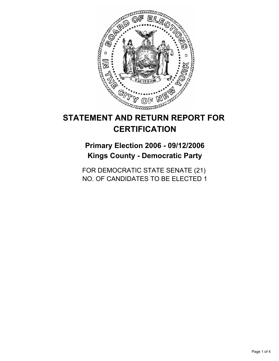

# **STATEMENT AND RETURN REPORT FOR CERTIFICATION**

## **Primary Election 2006 - 09/12/2006 Kings County - Democratic Party**

FOR DEMOCRATIC STATE SENATE (21) NO. OF CANDIDATES TO BE ELECTED 1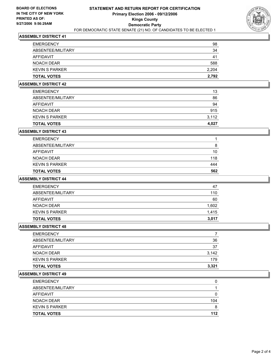

#### **ASSEMBLY DISTRICT 41**

| <b>TOTAL VOTES</b>    | 2,792 |
|-----------------------|-------|
| <b>KEVIN S PARKER</b> | 2,204 |
| NOACH DEAR            | 588   |
| AFFIDAVIT             | 41    |
| ABSENTEE/MILITARY     | 34    |
| <b>EMERGENCY</b>      | 98    |

## **ASSEMBLY DISTRICT 42**

| <b>TOTAL VOTES</b>    | 4,027 |
|-----------------------|-------|
| <b>KEVIN S PARKER</b> | 3,112 |
| NOACH DEAR            | 915   |
| AFFIDAVIT             | 94    |
| ABSENTEE/MILITARY     | 86    |
| <b>EMERGENCY</b>      | 13    |

#### **ASSEMBLY DISTRICT 43**

| <b>TOTAL VOTES</b>    | 562 |
|-----------------------|-----|
| <b>KEVIN S PARKER</b> | 444 |
| NOACH DEAR            | 118 |
| AFFIDAVIT             | 10  |
| ABSENTEE/MILITARY     |     |
| <b>EMERGENCY</b>      |     |

## **ASSEMBLY DISTRICT 44**

| <b>EMERGENCY</b>      | 47    |
|-----------------------|-------|
| ABSENTEE/MILITARY     | 110   |
| AFFIDAVIT             | 60    |
| NOACH DEAR            | 1,602 |
| <b>KEVIN S PARKER</b> | 1,415 |
| <b>TOTAL VOTES</b>    | 3,017 |

#### **ASSEMBLY DISTRICT 48**

| <b>EMERGENCY</b>      |       |
|-----------------------|-------|
| ABSENTEE/MILITARY     | 36    |
| <b>AFFIDAVIT</b>      | 37    |
| <b>NOACH DEAR</b>     | 3,142 |
| <b>KEVIN S PARKER</b> | 179   |
| <b>TOTAL VOTES</b>    | 3,321 |

#### **ASSEMBLY DISTRICT 49**

| <b>EMERGENCY</b>      |     |
|-----------------------|-----|
| ABSENTEE/MILITARY     |     |
| AFFIDAVIT             |     |
| NOACH DEAR            | 104 |
| <b>KEVIN S PARKER</b> |     |
| <b>TOTAL VOTES</b>    | 112 |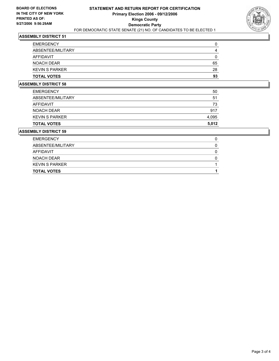

## **ASSEMBLY DISTRICT 51**

| <b>EMERGENCY</b>      |    |
|-----------------------|----|
| ABSENTEE/MILITARY     |    |
| AFFIDAVIT             |    |
| NOACH DEAR            | 65 |
| <b>KEVIN S PARKER</b> | 28 |
| <b>TOTAL VOTES</b>    | 93 |

## **ASSEMBLY DISTRICT 58**

| <b>TOTAL VOTES</b>    | 5,012 |
|-----------------------|-------|
| <b>KEVIN S PARKER</b> | 4,095 |
| <b>NOACH DEAR</b>     | 917   |
| <b>AFFIDAVIT</b>      | 73    |
| ABSENTEE/MILITARY     | 51    |
| <b>EMERGENCY</b>      | 50    |

#### **ASSEMBLY DISTRICT 59**

| <b>EMERGENCY</b>      |  |
|-----------------------|--|
| ABSENTEE/MILITARY     |  |
| AFFIDAVIT             |  |
| NOACH DEAR            |  |
| <b>KEVIN S PARKER</b> |  |
| <b>TOTAL VOTES</b>    |  |